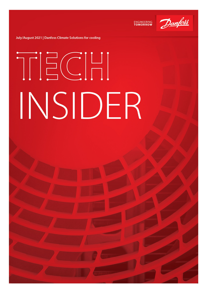

ENGINEERING<br>TOMORROW

**July/August 2021 | Danfoss Climate Solutions for cooling** 

 $\sim$ 

# TECH INSIDER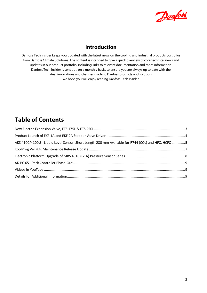

## **Introduction**

Danfoss Tech Insider keeps you updated with the latest news on the cooling and industrial products portfolios from Danfoss Climate Solutions. The content is intended to give a quick overview of core technical news and updates in our product portfolio, including links to relevant documentation and more information. Danfoss Tech Insider is sent out, on a monthly basis, to ensure you are always up to date with the latest innovations and changes made to Danfoss products and solutions. We hope you will enjoy reading Danfoss Tech Insider!

# **Table of Contents**

| AKS 4100/4100U - Liquid Level Sensor, Short Length 280 mm Available for R744 (CO <sub>2</sub> ) and HFC, HCFC 5 |  |
|-----------------------------------------------------------------------------------------------------------------|--|
|                                                                                                                 |  |
|                                                                                                                 |  |
|                                                                                                                 |  |
|                                                                                                                 |  |
|                                                                                                                 |  |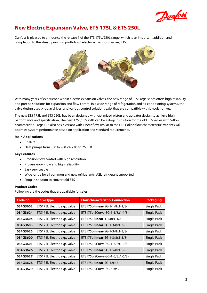Danfoss

# <span id="page-2-0"></span>**New Electric Expansion Valve, ETS 175L & ETS 250L**

Danfoss is pleased to announce the release 1 of the ETS 175L/250L range, which is an important addition and completion to the already existing portfolio of electric expansions valves, ETS.



With many years of experience within electric expansion valves, the new range of ETS Large series offers high reliability and precise solutions for expansion and flow control in a wide range of refrigeration and air conditioning systems, the valve design uses bi-polar drives, and various control solutions exist that are compatible with bi-polar drives.

The new ETS 175L and ETS 250L, has been designed with optimized piston and actuator design to achieve high performance and specification. The new 175L/ETS 250L can be a drop in solution for the old ETS valves with S-flow characteristic. Large ETS also has a variant with Linear flow similar to the ETS Colibri flow characteristic. Variants will optimize system performance based on application and standard requirements.

#### **Main Applications**

- Chillers
- Heat pumps from 300 to 900 kW / 85 to 260 TR

#### **Key Features**

- Precision flow control with high resolution
- Proven know-how and high reliability
- Easy serviceable
- Wide range for all common and new refrigerants, A2L refrigerant supported
- Drop in solution to convert old ETS

#### **Product Codes**

Following are the codes that are available for sales.

| Code no  | <b>Valve type</b>           | <b>Flow characteristic/ Connection</b> | <b>Packaging</b>   |
|----------|-----------------------------|----------------------------------------|--------------------|
| 034G3602 | ETS175L Electric exp. valve | ETS175L-linear-SG-1-1/8x1-1/8-         | Single Pack        |
| 034G3624 | ETS175L Electric exp. valve | ETS175L-SCurve-SG-1-1/8x1-1/8-         | Single Pack        |
| 034G3604 | ETS175L Electric exp. valve | ETS175L-linear-1-1/8x1-1/8-            | Single Pack        |
| 034G3603 | ETS175L Electric exp. valve | ETS175L-linear-SG-1-3/8x1-3/8-         | Single Pack        |
| 034G3625 | ETS175L Electric exp. valve | ETS175L-linear-SG-1-3/8x1-3/8-         | Single Pack        |
| 034G3600 | ETS175L Electric exp. valve | ETS175L-linear-SG-1-3/8x1-3/8-         | Single Pack        |
| 034G3601 | ETS175L Electric exp. valve | ETS175L-SCurve-SG-1-3/8x1-3/8-         | Single Pack        |
| 034G3626 | ETS175L Electric exp. valve | ETS175L-linear-SG-1-5/8x1-5/8-         | Single Pack        |
| 034G3627 | ETS175L Electric exp. valve | ETS175L-SCurve-SG-1-5/8x1-5/8-         | Single Pack        |
| 034G3628 | ETS175L Electric exp. valve | ETS175L-linear-SG-42x42-               | <b>Single Pack</b> |
| 034G3629 | ETS175L Electric exp. valve | ETS175L-SCurve-SG-42x42-               | Single Pack        |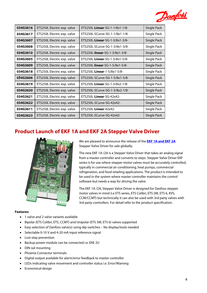

| 034G3616 | ETS250L Electric exp. valve | ETS250L-Linear-SG-1-1/8x1-1/8- | Single Pack |
|----------|-----------------------------|--------------------------------|-------------|
| 034G3617 | ETS250L Electric exp. valve | ETS250L-SCurve-SG-1-1/8x1-1/8- | Single Pack |
| 034G3607 | ETS250L Electric exp. valve | ETS250L-Linear-SG-1-3/8x1-3/8- | Single Pack |
| 034G3608 | ETS250L Electric exp. valve | FTS250L-SCurve-SG-1-3/8x1-3/8- | Single Pack |
| 034G3610 | ETS250L Electric exp. valve | ETS250L-linear-SG-1-3/8x1-3/8- | Single Pack |
| 034G3605 | ETS250L Electric exp. valve | ETS250L-Linear-SG-1-5/8x1-5/8- | Single Pack |
| 034G3609 | ETS250L Electric exp. valve | ETS250L-linear-SG-1-5/8x1-5/8- | Single Pack |
| 034G3618 | ETS250L Electric exp. valve | FTS250L-Linear-1-5/8x1-5/8-    | Single Pack |
| 034G3606 | ETS250L Electric exp. valve | ETS250L-SCurve-SG-1-5/8x1-5/8- | Single Pack |
| 034G3619 | ETS250L Electric exp. valve | ETS250L-Linear-SG-1-5/8x2-1/8- | Single Pack |
| 034G3620 | ETS250L Electric exp. valve | ETS250L-SCurve-SG-1-5/8x2-1/8- | Single Pack |
| 034G3621 | ETS250L Electric exp. valve | ETS250L-Linear-SG-42x42-       | Single Pack |
| 034G3622 | ETS250L Electric exp. valve | ETS250L-SCurve-SG-42x42-       | Single Pack |
| 034G3611 | ETS250L Electric exp. valve | ETS250L-Linear-42x42-          | Single Pack |
| 034G3623 | ETS250L Electric exp. valve | FTS250L-SCurve-SG-42x42-       | Single Pack |

# <span id="page-3-0"></span>**Product Launch of EKF 1A and EKF 2A Stepper Valve Driver**



We are pleased to announce the release of the **[EKF 1A and EKF 2A](https://assets.danfoss.com/documents/184240/AD374042119536en-000103.pdf)** Stepper Valve Driver for sale globally.

The new EKF 1A /2A is a Stepper Valve Driver that takes an analog signal from a master controller and converts to steps. Stepper Valve Driver EKF series is for use where stepper motor valves must be accurately controlled, typically in commercial air conditioning, heat pumps, commercial refrigeration, and food retailing applications. The product is intended to be used in the system where master controller maintains the control software but needs a way for driving the valve.

The EKF 1A /2A, Stepper Valve Driver is designed for Danfoss stepper motor valves in mind (i.e ETS series, ETS Colibri, ETS 5M, ETS 6, KVS, CCM/CCMT) but technically it can also be used with 3rd party valves with 3rd party controllers. For detail refer to the product specification.

#### **Features:**

- 1 valve and 2 valve variants available
- Bipolar (ETS Colibri, ETS, CCMT) and Unipolar (ETS 5M, ETS 6) valves supported
- Easy selection of Danfoss valve(s) using dip-switches No display/tools needed
- Selectable 0-10 V and 4-20 mA input reference signal
- Lost step prevention
- Backup power module can be connected i.e. EKE 2U
- DIN rail mounting
- Phoenix Connector terminals
- Digital output available for alarm/error feedback to master controller
- LEDs indicating valve movement and controller status i.e. Error/Warning
- Economical design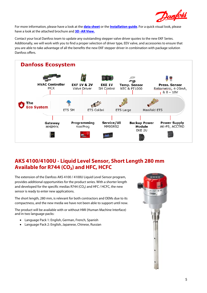

For more information, please have a look at the **data [sheet](https://assets.danfoss.com/documents/187050/AI383967949152en-000101.pdf)** or the **[Installation guide](https://assets.danfoss.com/documents/186643/AN375548103097en-000202.pdf)**. For a quick visual look, please have a look at the attached brochure and **[3D -AR View.](https://danfosscooling.github.io/Danfoss_Browser1.github.io/Assembly_EKF2A_080G5035_AR/)**

Contact your local Danfoss team to update any outstanding stepper valve driver quotes to the new EKF Series. Additionally, we will work with you to find a proper selection of driver type, EEV valve, and accessories to ensure that you are able to take advantage of all the benefits the new EKF stepper driver in combination with package solution Danfoss offers.



## <span id="page-4-0"></span>**AKS 4100/4100U - Liquid Level Sensor, Short Length 280 mm Available for R744 (CO₂) and HFC, HCFC**

The extension of the Danfoss AKS 4100 / 4100U Liquid Level Sensor program, provides additional opportunities for the product series. With a shorter length and developed for the specific medias R744 (CO<sub>2</sub>) and HFC / HCFC, the new sensor is ready to enter new applications.

The short length, 280 mm, is relevant for both contractors and OEMs due to its compactness, and the new media we have not been able to support until now.

The product will be available with or without HMI (Human Machine Interface) and in two language packs:

- Language Pack 1: English, German, French, Spanish
- Language Pack 2: English, Japanese, Chinese, Russian

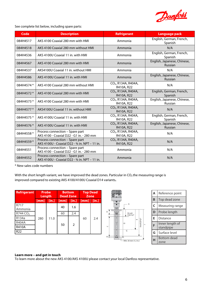

See complete list below, including spare parts:

| Code       | <b>Description</b>                                                                | <b>Refrigerant</b>                            | Language pack                                 |  |
|------------|-----------------------------------------------------------------------------------|-----------------------------------------------|-----------------------------------------------|--|
| 084H4517   | AKS 4100 Coaxial 280 mm with HMI                                                  | Ammonia                                       | English, German, French,<br>Spanish           |  |
| 084H4518   | AKS 4100 Coaxial 280 mm without HMI                                               | Ammonia                                       | N/A                                           |  |
| 084H4536   | AKS 4100U Coaxial 11 in. with HMI                                                 | Ammonia                                       | English, German, French,<br>Spanish           |  |
| 084H4567   | AKS 4100 Coaxial 280 mm with HMI                                                  | Ammonia                                       | English, Japanese, Chinese,<br><b>Russian</b> |  |
| 084H4537   | AKS4100U Coaxial 11 in. without HMI                                               | Ammonia                                       | N/A                                           |  |
| 084H4586   | AKS 4100U Coaxial 11 in. with HMI                                                 | Ammonia                                       | English, Japanese, Chinese,<br><b>Russian</b> |  |
| 084H4574 * | AKS 4100 Coaxial 280 mm without HMI                                               | CO <sub>2</sub> , R134A, R404A,<br>R410A, R22 | N/A                                           |  |
| 084H4572 * | AKS 4100 Coaxial 280 mm with HMI                                                  | CO <sub>2</sub> , R134A, R404A,<br>R410A, R22 | English, German, French,<br>Spanish           |  |
| 084H4573 * | AKS 4100 Coaxial 280 mm with HMI                                                  | CO <sub>2</sub> , R134A, R404A,<br>R410A, R22 | English, Japanese, Chinese,<br>Russian        |  |
| 084H4577*  | AKS4100U Coaxial 11 in. without HMI                                               | CO <sub>2</sub> , R134A, R404A,<br>R410A, R22 | N/A                                           |  |
| 084H4575 * | AKS 4100U Coaxial 11 in. with HMI                                                 | CO <sub>2</sub> , R134A, R404A,<br>R410A, R22 | English, German, French,<br>Spanish           |  |
| 084H4576 * | AKS 4100U Coaxial 11 in, with HMI                                                 | CO <sub>2</sub> , R134A, R404A,<br>R410A, R22 | English, Japanese, Chinese,<br><b>Russian</b> |  |
| 084H4558 * | Process connection - Spare part<br>AKS 4100 - Coaxial D22 - G1 in. - 280 mm       | CO <sub>2</sub> , R134A, R404A,<br>R410A, R22 | N/A                                           |  |
| 084H4559 * | Process connection - Spare part<br>AKS 4100U - Coaxial D22 - 3/4 in. NPT - 11 in. | CO <sub>2</sub> , R134A, R404A,<br>R410A, R22 | N/A                                           |  |
| 084H4551   | Process connection - Spare part<br>AKS 4100 - Coaxial D22 - G1 in. - 280 mm       | Ammonia                                       | N/A                                           |  |
| 084H4552   | Process connection - Spare part<br>AKS 4100U - Coaxial D22 - 34 in. NPT - 11 in.  | Ammonia                                       | N/A                                           |  |

\* New sales code numbers

With the short length variant, we have improved the dead zones. Particular in  $CO<sub>2</sub>$  the measuring range is improved compared to existing AKS 4100/4100U Coaxial D14 variants**.**

| Refrigerant          | <b>Probe</b><br>Length |                 | <b>Bottom</b><br><b>Dead Zone</b> |             | <b>Top Dead</b><br><b>Zone</b> |              |
|----------------------|------------------------|-----------------|-----------------------------------|-------------|--------------------------------|--------------|
|                      | [mm]                   | $\textsf{lin.}$ | [mm]                              | $[$ in. $]$ | [mm]                           | <b>Tin.1</b> |
| R717                 |                        |                 | 40                                | 1.6         |                                |              |
| Ammonia              |                        |                 |                                   |             |                                |              |
| R744 CO <sub>2</sub> |                        |                 | 60                                | 2.4         |                                |              |
| R134a                | 280                    | 11.0            |                                   |             | 60                             | 2.4          |
| <b>R404A</b>         |                        |                 | 50                                | 2           |                                |              |
| <b>R410A</b>         |                        |                 |                                   |             |                                |              |
| R <sub>22</sub>      |                        |                 |                                   |             |                                |              |



#### **Learn more – and get in touch**

To learn more about the new AKS 4100/AKS 4100U please contact your local Danfoss representative.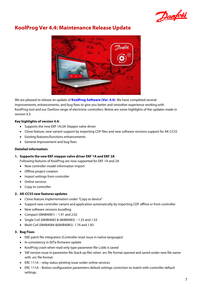



# <span id="page-6-0"></span>**KoolProg Ver 4.4: Maintenance Release Update**

We are pleased to release an update of **[KoolProg Software \(Ver. 4.4\)](http://refrigerationandairconditioning.danfoss.com/support-center/apps-and-software/koolprog/#/)**. We have completed several improvements, enhancements, and bug fixes to give you better and smoother experience working with KoolProg tool and our Danfoss range of electronic controllers. Below are some highlights of the updates made in version 4.3:

#### **Key highlights of version 4.4:**

- Supports the new EKF 1A/2A Stepper valve driver
- Clone feature, new variant support by importing CDF files and new software versions support for AK-CC55
- Existing features/functions enhancements
- General improvement and bug fixes

#### **Detailed information:**

#### **1. Supports the new EKF stepper valve driver EKF 1A and EKF 2A**

Following features of KoolProg are now supported for EKF 1A and 2A

- New controller model information import
- Offline project creation
- Import settings from controller
- Online services
- Copy to controller

#### **2. AK-CC55 new features updates**

- Clone feature implementation under "Copy to device"
- Support new controller variant and application automatically by importing CDF offline or from controller
- New software versions bundling
- Compact (084B4081) 1.91 and 2.02
- Single Coil (084B4082 & 084B4083) 1.33 and 1.53
- Multi Coil (084B4084 &084B4085)- 1.74 and 1.83

#### **3. Bug Fixes**

- EKE patch file integration (Controller reset issue in native languages)
- In-consistency in EETa firmware update
- KoolProg crash when read only type parameter file (.cbk) is saved
- SW version issue in parameter file (back up file) when .erc file format opened and saved under new file name with .erc file format.
- ERC 111A relay status plotting issue under online services
- ERC 111A Button configuration parameters default settings correction to match with controller default settings.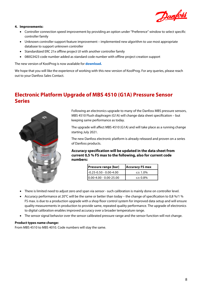

#### **4. Improvements:**

- Controller connection speed improvement by providing an option under "Preference" window to select specific controller family
- Unknown controller support feature improvement implemented new algorithm to use most appropriate database to support unknown controller
- Standardized ERC 21x offline project UI with another controller family
- 080G3423 code number added as standard code number with offline project creation support

The new version of KoolProg is now available for **[download.](http://refrigerationandairconditioning.danfoss.com/support-center/apps-and-software/koolprog/#/)**

We hope that you will like the experience of working with this new version of KoolProg. For any queries, please reach out to your Danfoss Sales Contact.

# <span id="page-7-0"></span>**Electronic Platform Upgrade of MBS 4510 (G1A) Pressure Sensor Series**



Following an electronics upgrade to many of the Danfoss MBS pressure sensors, MBS 4510 Flush diaphragm (G1A) will change data sheet specification – but keeping same performance as today.

The upgrade will affect MBS 4510 (G1A) and will take place as a running change starting July 2021.

The new Danfoss electronic platform is already released and proven on a series of Danfoss products.

**Accuracy specification will be updated in the data sheet from current 0,5 % FS max to the following, also for current code numbers:** 

| Pressure range [bar] |                              | <b>Accuracy FS max</b> |  |  |
|----------------------|------------------------------|------------------------|--|--|
|                      | $-0.25 - 0.50 - 0.00 - 4.00$ | $\leq \pm 1.0\%$       |  |  |
|                      | $0.00 - 4.00 - 0.00 - 25.00$ | $\leq \pm 0.8\%$       |  |  |

- There is limited need to adjust zero and span via sensor such calibration is mainly done on controller level.
- Accuracy performance at 20°C will be the same or better than today the change of specification to 0,8 %/1 % FS max. is due to a production upgrade with a shop floor control system for improved data setup and will ensure quality measurements in production to provide same, repeated quality performance. The upgrade of electronics to digital calibration enables improved accuracy over a broader temperature range.
- The sensor signal behavior over the sensor calibrated pressure range and the sensor function will not change.

#### **Product types name change:**

From MBS 4510 to MBS 4010. Code numbers will stay the same.